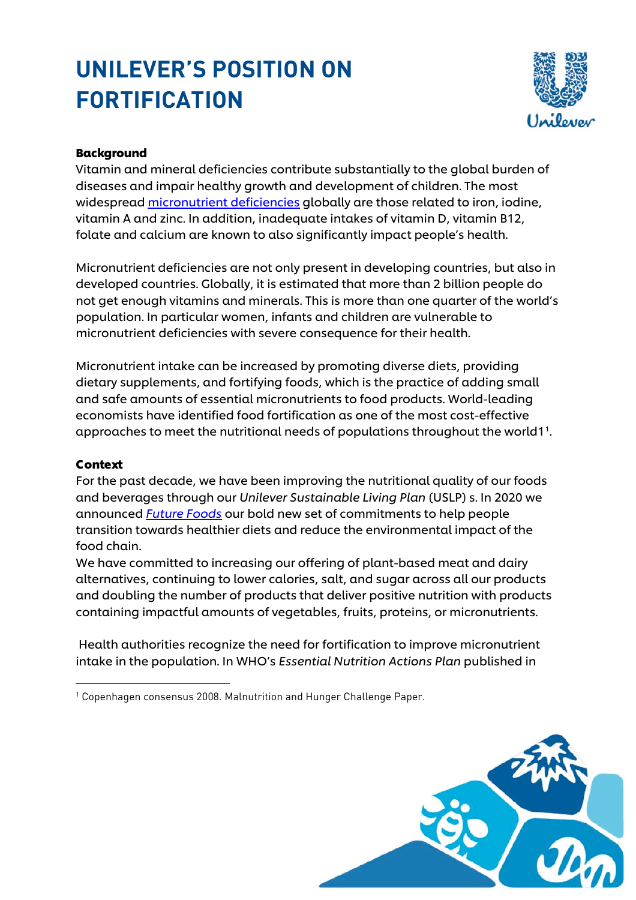# **UNILEVER'S POSITION ON FORTIFICATION**



## Background

Vitamin and mineral deficiencies contribute substantially to the global burden of diseases and impair healthy growth and development of children. The most widespread [micronutrient deficiencies](https://assets.unilever.com/files/92ui5egz/production/89a858bb45974b65ecf9f242bc52c5907f97fb11.pdf/fortification_infographic.pdf) globally are those related to iron, iodine, vitamin A and zinc. In addition, inadequate intakes of vitamin D, vitamin B12, folate and calcium are known to also significantly impact people's health.

Micronutrient deficiencies are not only present in developing countries, but also in developed countries. Globally, it is estimated that more than 2 billion people do not get enough vitamins and minerals. This is more than one quarter of the world's population. In particular women, infants and children are vulnerable to micronutrient deficiencies with severe consequence for their health.

Micronutrient intake can be increased by promoting diverse diets, providing dietary supplements, and fortifying foods, which is the practice of adding small and safe amounts of essential micronutrients to food products. World-leading economists have identified food fortification as one of the most cost-effective  $\alpha$ ppro $\alpha$ ches to meet the nutritional needs of populations throughout the world[1](#page-0-0) $^{\rm 1}.$ 

#### Context

For the past decade, we have been improving the nutritional quality of our foods and beverages through our *Unilever Sustainable Living Plan* (USLP) s. In 2020 we announced *[Future Foods](https://www.unilever.com/planet-and-society/positive-nutrition/strategy-and-goals/)* our bold new set of commitments to help people transition towards healthier diets and reduce the environmental impact of the food chain.

We have committed to increasing our offering of plant-based meat and dairy alternatives, continuing to lower calories, salt, and sugar across all our products and doubling the number of products that deliver positive nutrition with products containing impactful amounts of vegetables, fruits, proteins, or micronutrients.

Health authorities recognize the need for fortification to improve micronutrient intake in the population. In WHO's *Essential Nutrition Actions Plan* published in

<span id="page-0-0"></span><sup>1</sup> Copenhagen consensus 2008. Malnutrition and Hunger Challenge Paper.

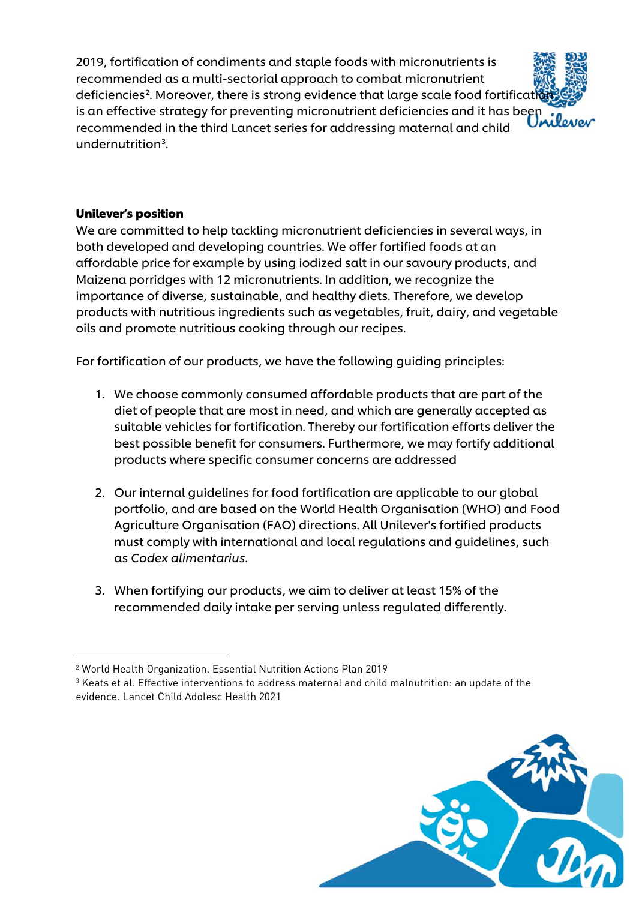2019, fortification of condiments and staple foods with micronutrients is recommended as a multi-sectorial approach to combat micronutrient deficiencies<sup>[2](#page-1-0)</sup>. Moreover, there is strong evidence that large scale food fortificati**on** is an effective strategy for preventing micronutrient deficiencies and it has been interesting in recommended in the third Lancet series for addressing maternal and child undernutrition<sup>[3](#page-1-1)</sup>.

## Unilever's position

We are committed to help tackling micronutrient deficiencies in several ways, in both developed and developing countries. We offer fortified foods at an affordable price for example by using iodized salt in our savoury products, and Maizena porridges with 12 micronutrients. In addition, we recognize the importance of diverse, sustainable, and healthy diets. Therefore, we develop products with nutritious ingredients such as vegetables, fruit, dairy, and vegetable oils and promote nutritious cooking through our recipes.

For fortification of our products, we have the following guiding principles:

- 1. We choose commonly consumed affordable products that are part of the diet of people that are most in need, and which are generally accepted as suitable vehicles for fortification. Thereby our fortification efforts deliver the best possible benefit for consumers. Furthermore, we may fortify additional products where specific consumer concerns are addressed
- 2. Our internal guidelines for food fortification are applicable to our global portfolio, and are based on the World Health Organisation (WHO) and Food Agriculture Organisation (FAO) directions. All Unilever's fortified products must comply with international and local regulations and guidelines, such as *Codex alimentarius*.
- 3. When fortifying our products, we aim to deliver at least 15% of the recommended daily intake per serving unless regulated differently.

<span id="page-1-1"></span><sup>3</sup> Keats et al. Effective interventions to address maternal and child malnutrition: an update of the evidence. Lancet Child Adolesc Health 2021



<span id="page-1-0"></span><sup>2</sup> World Health Organization. Essential Nutrition Actions Plan 2019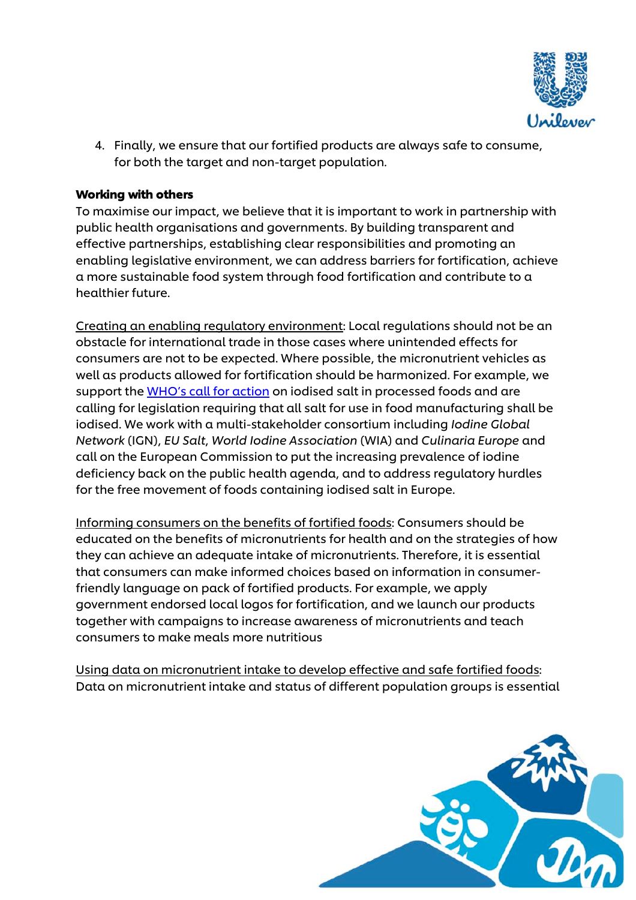

4. Finally, we ensure that our fortified products are always safe to consume, for both the target and non-target population.

#### Working with others

To maximise our impact, we believe that it is important to work in partnership with public health organisations and governments. By building transparent and effective partnerships, establishing clear responsibilities and promoting an enabling legislative environment, we can address barriers for fortification, achieve a more sustainable food system through food fortification and contribute to a healthier future.

Creating an enabling regulatory environment: Local regulations should not be an obstacle for international trade in those cases where unintended effects for consumers are not to be expected. Where possible, the micronutrient vehicles as well as products allowed for fortification should be harmonized. For example, we support the [WHO's call for action](https://www.who.int/publications/i/item/9789241515856) on iodised salt in processed foods and are calling for legislation requiring that all salt for use in food manufacturing shall be iodised. We work with a multi-stakeholder consortium including *Iodine Global Network* (IGN), *EU Salt*, *World Iodine Association* (WIA) and *Culinaria Europe* and call on the European Commission to put the increasing prevalence of iodine deficiency back on the public health agenda, and to address regulatory hurdles for the free movement of foods containing iodised salt in Europe.

Informing consumers on the benefits of fortified foods: Consumers should be educated on the benefits of micronutrients for health and on the strategies of how they can achieve an adequate intake of micronutrients. Therefore, it is essential that consumers can make informed choices based on information in consumerfriendly language on pack of fortified products. For example, we apply government endorsed local logos for fortification, and we launch our products together with campaigns to increase awareness of micronutrients and teach consumers to make meals more nutritious

Using data on micronutrient intake to develop effective and safe fortified foods: Data on micronutrient intake and status of different population groups is essential